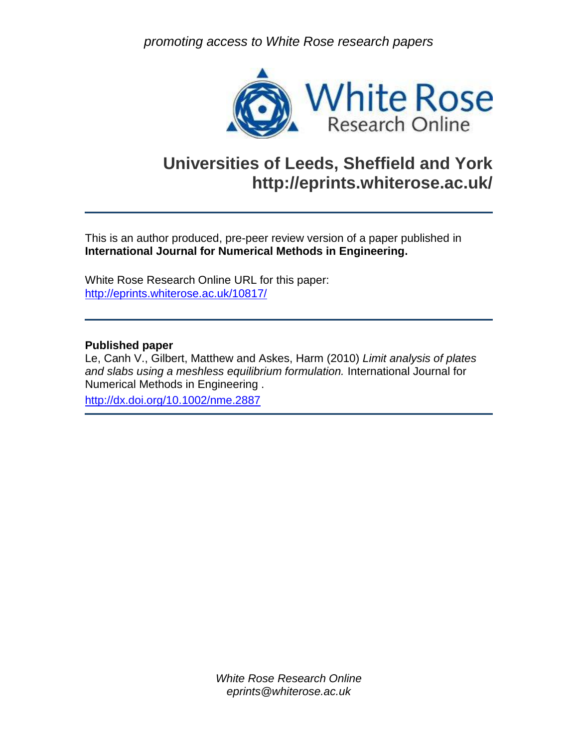*promoting access to White Rose research papers*



# **Universities of Leeds, Sheffield and York http://eprints.whiterose.ac.uk/**

This is an author produced, pre-peer review version of a paper published in **International Journal for Numerical Methods in Engineering.**

White Rose Research Online URL for this paper: <http://eprints.whiterose.ac.uk/10817/>

# **Published paper**

Le, Canh V., Gilbert, Matthew and Askes, Harm (2010) *Limit analysis of plates and slabs using a meshless equilibrium formulation.* International Journal for Numerical Methods in Engineering .

<http://dx.doi.org/10.1002/nme.2887>

*White Rose Research Online eprints@whiterose.ac.uk*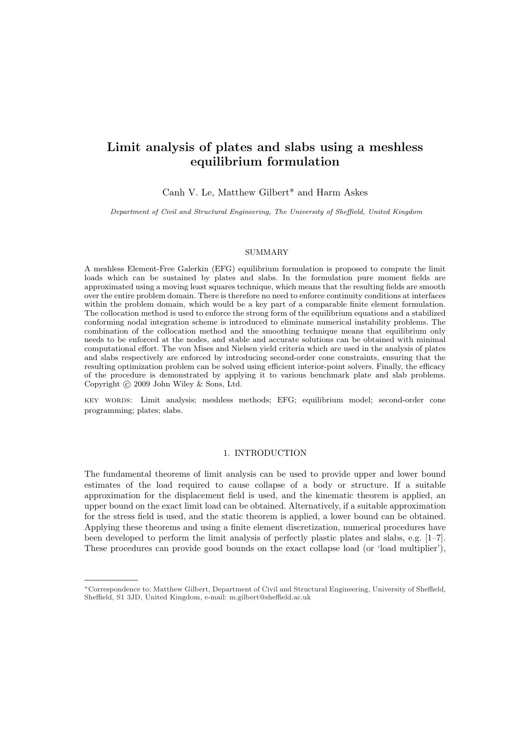# Limit analysis of plates and slabs using a meshless equilibrium formulation

# Canh V. Le, Matthew Gilbert\* and Harm Askes

Department of Civil and Structural Engineering, The University of Sheffield, United Kingdom

#### SUMMARY

A meshless Element-Free Galerkin (EFG) equilibrium formulation is proposed to compute the limit loads which can be sustained by plates and slabs. In the formulation pure moment fields are approximated using a moving least squares technique, which means that the resulting fields are smooth over the entire problem domain. There is therefore no need to enforce continuity conditions at interfaces within the problem domain, which would be a key part of a comparable finite element formulation. The collocation method is used to enforce the strong form of the equilibrium equations and a stabilized conforming nodal integration scheme is introduced to eliminate numerical instability problems. The combination of the collocation method and the smoothing technique means that equilibrium only needs to be enforced at the nodes, and stable and accurate solutions can be obtained with minimal computational effort. The von Mises and Nielsen yield criteria which are used in the analysis of plates and slabs respectively are enforced by introducing second-order cone constraints, ensuring that the resulting optimization problem can be solved using efficient interior-point solvers. Finally, the efficacy of the procedure is demonstrated by applying it to various benchmark plate and slab problems. Copyright  $\odot$  2009 John Wiley & Sons, Ltd.

key words: Limit analysis; meshless methods; EFG; equilibrium model; second-order cone programming; plates; slabs.

## 1. INTRODUCTION

The fundamental theorems of limit analysis can be used to provide upper and lower bound estimates of the load required to cause collapse of a body or structure. If a suitable approximation for the displacement field is used, and the kinematic theorem is applied, an upper bound on the exact limit load can be obtained. Alternatively, if a suitable approximation for the stress field is used, and the static theorem is applied, a lower bound can be obtained. Applying these theorems and using a finite element discretization, numerical procedures have been developed to perform the limit analysis of perfectly plastic plates and slabs, e.g.  $[1-7]$ . These procedures can provide good bounds on the exact collapse load (or 'load multiplier'),

<sup>∗</sup>Correspondence to: Matthew Gilbert, Department of Civil and Structural Engineering, University of Sheffield, Sheffield, S1 3JD, United Kingdom, e-mail: m.gilbert@sheffield.ac.uk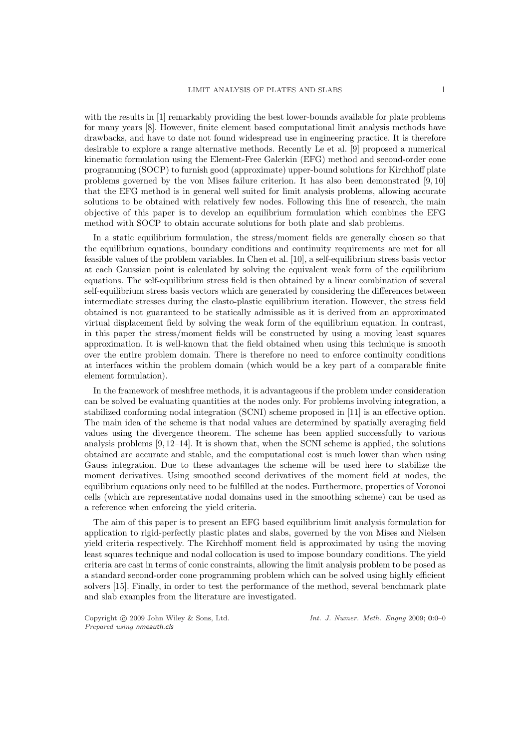with the results in [1] remarkably providing the best lower-bounds available for plate problems for many years [8]. However, finite element based computational limit analysis methods have drawbacks, and have to date not found widespread use in engineering practice. It is therefore desirable to explore a range alternative methods. Recently Le et al. [9] proposed a numerical kinematic formulation using the Element-Free Galerkin (EFG) method and second-order cone programming (SOCP) to furnish good (approximate) upper-bound solutions for Kirchhoff plate problems governed by the von Mises failure criterion. It has also been demonstrated [9, 10] that the EFG method is in general well suited for limit analysis problems, allowing accurate solutions to be obtained with relatively few nodes. Following this line of research, the main objective of this paper is to develop an equilibrium formulation which combines the EFG method with SOCP to obtain accurate solutions for both plate and slab problems.

In a static equilibrium formulation, the stress/moment fields are generally chosen so that the equilibrium equations, boundary conditions and continuity requirements are met for all feasible values of the problem variables. In Chen et al. [10], a self-equilibrium stress basis vector at each Gaussian point is calculated by solving the equivalent weak form of the equilibrium equations. The self-equilibrium stress field is then obtained by a linear combination of several self-equilibrium stress basis vectors which are generated by considering the differences between intermediate stresses during the elasto-plastic equilibrium iteration. However, the stress field obtained is not guaranteed to be statically admissible as it is derived from an approximated virtual displacement field by solving the weak form of the equilibrium equation. In contrast, in this paper the stress/moment fields will be constructed by using a moving least squares approximation. It is well-known that the field obtained when using this technique is smooth over the entire problem domain. There is therefore no need to enforce continuity conditions at interfaces within the problem domain (which would be a key part of a comparable finite element formulation).

In the framework of meshfree methods, it is advantageous if the problem under consideration can be solved be evaluating quantities at the nodes only. For problems involving integration, a stabilized conforming nodal integration (SCNI) scheme proposed in [11] is an effective option. The main idea of the scheme is that nodal values are determined by spatially averaging field values using the divergence theorem. The scheme has been applied successfully to various analysis problems  $[9, 12-14]$ . It is shown that, when the SCNI scheme is applied, the solutions obtained are accurate and stable, and the computational cost is much lower than when using Gauss integration. Due to these advantages the scheme will be used here to stabilize the moment derivatives. Using smoothed second derivatives of the moment field at nodes, the equilibrium equations only need to be fulfilled at the nodes. Furthermore, properties of Voronoi cells (which are representative nodal domains used in the smoothing scheme) can be used as a reference when enforcing the yield criteria.

The aim of this paper is to present an EFG based equilibrium limit analysis formulation for application to rigid-perfectly plastic plates and slabs, governed by the von Mises and Nielsen yield criteria respectively. The Kirchhoff moment field is approximated by using the moving least squares technique and nodal collocation is used to impose boundary conditions. The yield criteria are cast in terms of conic constraints, allowing the limit analysis problem to be posed as a standard second-order cone programming problem which can be solved using highly efficient solvers [15]. Finally, in order to test the performance of the method, several benchmark plate and slab examples from the literature are investigated.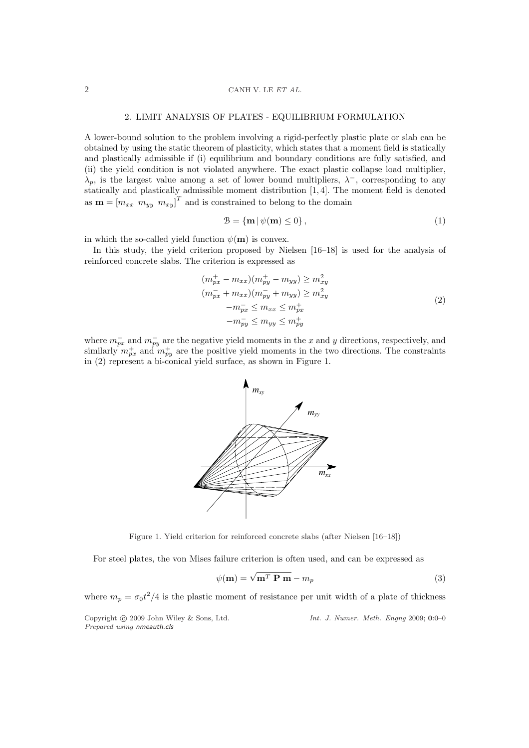#### 2 CANH V. LE ET AL.

# 2. LIMIT ANALYSIS OF PLATES - EQUILIBRIUM FORMULATION

A lower-bound solution to the problem involving a rigid-perfectly plastic plate or slab can be obtained by using the static theorem of plasticity, which states that a moment field is statically and plastically admissible if (i) equilibrium and boundary conditions are fully satisfied, and (ii) the yield condition is not violated anywhere. The exact plastic collapse load multiplier,  $\lambda_p$ , is the largest value among a set of lower bound multipliers,  $\lambda^-$ , corresponding to any statically and plastically admissible moment distribution [1, 4]. The moment field is denoted as  $\mathbf{m} = [m_{xx} \ m_{yy} \ m_{xy}]^T$  and is constrained to belong to the domain

$$
\mathcal{B} = \{ \mathbf{m} \, | \, \psi(\mathbf{m}) \le 0 \},\tag{1}
$$

in which the so-called yield function  $\psi(\mathbf{m})$  is convex.

In this study, the yield criterion proposed by Nielsen [16–18] is used for the analysis of reinforced concrete slabs. The criterion is expressed as

$$
(m_{px}^{+} - m_{xx})(m_{py}^{+} - m_{yy}) \ge m_{xy}^{2}
$$
  
\n
$$
(m_{px}^{-} + m_{xx})(m_{py}^{-} + m_{yy}) \ge m_{xy}^{2}
$$
  
\n
$$
-m_{px}^{-} \le m_{xx} \le m_{px}^{+}
$$
  
\n
$$
-m_{py}^{-} \le m_{yy} \le m_{py}^{+}
$$
\n(2)

where  $m_{px}^-$  and  $m_{py}^-$  are the negative yield moments in the x and y directions, respectively, and similarly  $m_{px}^+$  and  $m_{py}^+$  are the positive yield moments in the two directions. The constraints in (2) represent a bi-conical yield surface, as shown in Figure 1.



Figure 1. Yield criterion for reinforced concrete slabs (after Nielsen [16–18])

For steel plates, the von Mises failure criterion is often used, and can be expressed as

$$
\psi(\mathbf{m}) = \sqrt{\mathbf{m}^T \mathbf{P} \mathbf{m}} - m_p \tag{3}
$$

where  $m_p = \sigma_0 t^2/4$  is the plastic moment of resistance per unit width of a plate of thickness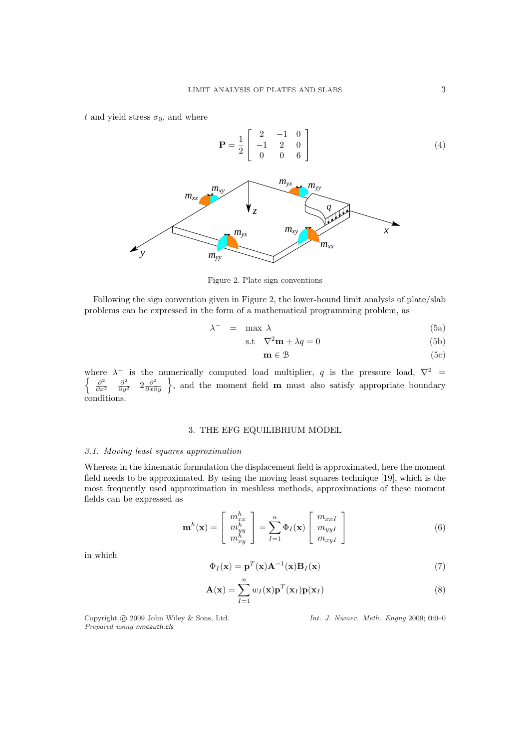t and yield stress  $\sigma_0$ , and where

$$
P = \frac{1}{2} \begin{bmatrix} 2 & -1 & 0 \\ -1 & 2 & 0 \\ 0 & 0 & 6 \end{bmatrix}
$$
 (4)  
  
 $m_{xx}$   
  
 $m_{yy}$   
  
 $m_{yy}$   
  
 $m_{yy}$   
  
 $m_{xy}$   
  
 $m_{yy}$   
  
 $m_{xx}$   
  
 $m_{yy}$   
  
 $m_{xx}$ 

Figure 2. Plate sign conventions

Following the sign convention given in Figure 2, the lower-bound limit analysis of plate/slab problems can be expressed in the form of a mathematical programming problem, as

$$
\lambda^- = \max \lambda \tag{5a}
$$

$$
s.t \nabla^2 \mathbf{m} + \lambda q = 0 \tag{5b}
$$

$$
\mathbf{m} \in \mathcal{B} \tag{5c}
$$

where  $\lambda^-$  is the numerically computed load multiplier, q is the pressure load,  $\nabla^2$  =  $\partial^2$  $\frac{\partial^2}{\partial x^2}$   $\frac{\partial^2}{\partial y^2}$   $2\frac{\partial^2}{\partial x \partial}$ the numerically computed load multiplier, q is the pressure load,  $V^2 = \frac{\partial^2}{\partial x \partial y}$ , and the moment field **m** must also satisfy appropriate boundary conditions.

# 3. THE EFG EQUILIBRIUM MODEL

# 3.1. Moving least squares approximation

Whereas in the kinematic formulation the displacement field is approximated, here the moment field needs to be approximated. By using the moving least squares technique [19], which is the most frequently used approximation in meshless methods, approximations of these moment fields can be expressed as

$$
\mathbf{m}^{h}(\mathbf{x}) = \begin{bmatrix} m_{xx}^{h} \\ m_{yy}^{h} \\ m_{xy}^{h} \end{bmatrix} = \sum_{I=1}^{n} \Phi_{I}(\mathbf{x}) \begin{bmatrix} m_{xxI} \\ m_{yyI} \\ m_{xyI} \end{bmatrix}
$$
(6)

in which

$$
\Phi_I(\mathbf{x}) = \mathbf{p}^T(\mathbf{x})\mathbf{A}^{-1}(\mathbf{x})\mathbf{B}_I(\mathbf{x})
$$
\n(7)

$$
\mathbf{A}(\mathbf{x}) = \sum_{I=1}^{n} w_I(\mathbf{x}) \mathbf{p}^T(\mathbf{x}_I) \mathbf{p}(\mathbf{x}_I)
$$
 (8)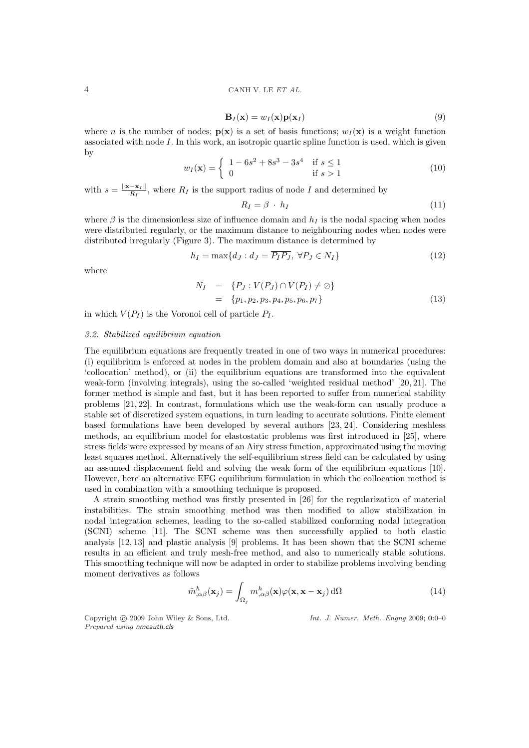$$
\mathbf{B}_I(\mathbf{x}) = w_I(\mathbf{x})\mathbf{p}(\mathbf{x}_I) \tag{9}
$$

where n is the number of nodes;  $p(x)$  is a set of basis functions;  $w_I(x)$  is a weight function associated with node  $I$ . In this work, an isotropic quartic spline function is used, which is given by

$$
w_I(\mathbf{x}) = \begin{cases} 1 - 6s^2 + 8s^3 - 3s^4 & \text{if } s \le 1\\ 0 & \text{if } s > 1 \end{cases}
$$
 (10)

with  $s = \frac{\|\mathbf{x} - \mathbf{x}_I\|}{B}$  $\frac{-\mathbf{x}_I}{R_I}$ , where  $R_I$  is the support radius of node I and determined by

$$
R_I = \beta \cdot h_I \tag{11}
$$

where  $\beta$  is the dimensionless size of influence domain and  $h_I$  is the nodal spacing when nodes were distributed regularly, or the maximum distance to neighbouring nodes when nodes were distributed irregularly (Figure 3). The maximum distance is determined by

$$
h_I = \max\{d_J : d_J = \overline{P_I P_J}, \ \forall P_J \in N_I\} \tag{12}
$$

where

$$
N_I = \{ P_J : V(P_J) \cap V(P_I) \neq \emptyset \} = \{ p_1, p_2, p_3, p_4, p_5, p_6, p_7 \} \tag{13}
$$

in which  $V(P_I)$  is the Voronoi cell of particle  $P_I$ .

# 3.2. Stabilized equilibrium equation

The equilibrium equations are frequently treated in one of two ways in numerical procedures: (i) equilibrium is enforced at nodes in the problem domain and also at boundaries (using the 'collocation' method), or (ii) the equilibrium equations are transformed into the equivalent weak-form (involving integrals), using the so-called 'weighted residual method' [20, 21]. The former method is simple and fast, but it has been reported to suffer from numerical stability problems [21, 22]. In contrast, formulations which use the weak-form can usually produce a stable set of discretized system equations, in turn leading to accurate solutions. Finite element based formulations have been developed by several authors [23, 24]. Considering meshless methods, an equilibrium model for elastostatic problems was first introduced in [25], where stress fields were expressed by means of an Airy stress function, approximated using the moving least squares method. Alternatively the self-equilibrium stress field can be calculated by using an assumed displacement field and solving the weak form of the equilibrium equations [10]. However, here an alternative EFG equilibrium formulation in which the collocation method is used in combination with a smoothing technique is proposed.

A strain smoothing method was firstly presented in [26] for the regularization of material instabilities. The strain smoothing method was then modified to allow stabilization in nodal integration schemes, leading to the so-called stabilized conforming nodal integration (SCNI) scheme [11]. The SCNI scheme was then successfully applied to both elastic analysis [12, 13] and plastic analysis [9] problems. It has been shown that the SCNI scheme results in an efficient and truly mesh-free method, and also to numerically stable solutions. This smoothing technique will now be adapted in order to stabilize problems involving bending moment derivatives as follows

$$
\tilde{m}^h_{,\alpha\beta}(\mathbf{x}_j) = \int_{\Omega_j} m^h_{,\alpha\beta}(\mathbf{x}) \varphi(\mathbf{x}, \mathbf{x} - \mathbf{x}_j) \, d\Omega \tag{14}
$$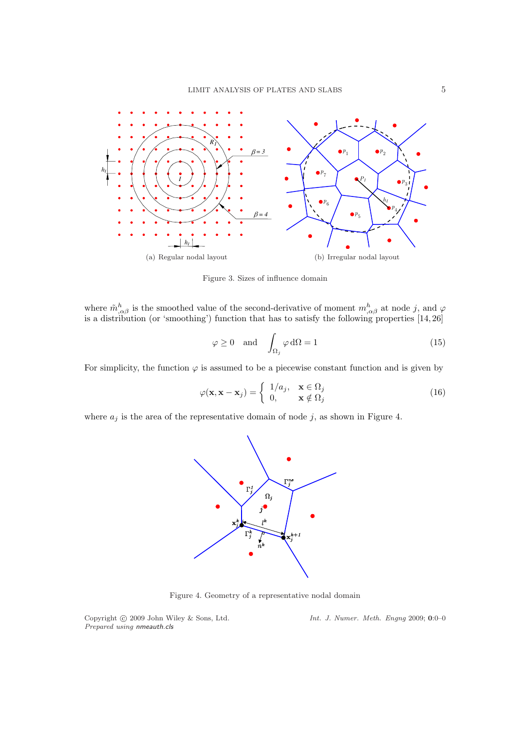

Figure 3. Sizes of influence domain

where  $\tilde{m}^h_{,\alpha\beta}$  is the smoothed value of the second-derivative of moment  $m^h_{,\alpha\beta}$  at node j, and  $\varphi$ is a distribution (or 'smoothing') function that has to satisfy the following properties [14, 26]

$$
\varphi \ge 0 \quad \text{and} \quad \int_{\Omega_j} \varphi \, d\Omega = 1 \tag{15}
$$

For simplicity, the function  $\varphi$  is assumed to be a piecewise constant function and is given by

$$
\varphi(\mathbf{x}, \mathbf{x} - \mathbf{x}_j) = \begin{cases} 1/a_j, & \mathbf{x} \in \Omega_j \\ 0, & \mathbf{x} \notin \Omega_j \end{cases}
$$
(16)

where  $a_j$  is the area of the representative domain of node j, as shown in Figure 4.



Figure 4. Geometry of a representative nodal domain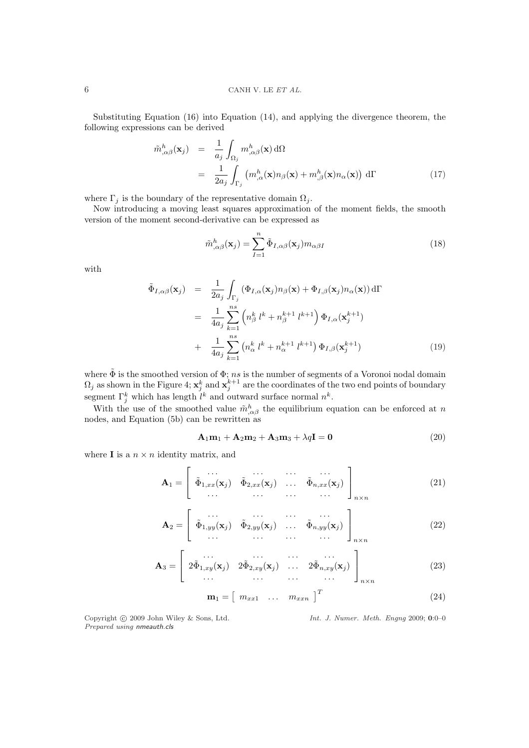Substituting Equation (16) into Equation (14), and applying the divergence theorem, the following expressions can be derived

$$
\tilde{m}^{h}_{,\alpha\beta}(\mathbf{x}_{j}) = \frac{1}{a_{j}} \int_{\Omega_{j}} m^{h}_{,\alpha\beta}(\mathbf{x}) d\Omega
$$
\n
$$
= \frac{1}{2a_{j}} \int_{\Gamma_{j}} \left( m^{h}_{,\alpha}(\mathbf{x}) n_{\beta}(\mathbf{x}) + m^{h}_{,\beta}(\mathbf{x}) n_{\alpha}(\mathbf{x}) \right) d\Gamma \tag{17}
$$

where  $\Gamma_i$  is the boundary of the representative domain  $\Omega_i$ .

Now introducing a moving least squares approximation of the moment fields, the smooth version of the moment second-derivative can be expressed as

$$
\tilde{m}_{,\alpha\beta}^h(\mathbf{x}_j) = \sum_{I=1}^n \tilde{\Phi}_{I,\alpha\beta}(\mathbf{x}_j) m_{\alpha\beta I}
$$
\n(18)

with

$$
\tilde{\Phi}_{I,\alpha\beta}(\mathbf{x}_j) = \frac{1}{2a_j} \int_{\Gamma_j} (\Phi_{I,\alpha}(\mathbf{x}_j) n_{\beta}(\mathbf{x}) + \Phi_{I,\beta}(\mathbf{x}_j) n_{\alpha}(\mathbf{x})) d\Gamma
$$
\n
$$
= \frac{1}{4a_j} \sum_{k=1}^{ns} \left( n_{\beta}^k l^k + n_{\beta}^{k+1} l^{k+1} \right) \Phi_{I,\alpha}(\mathbf{x}_j^{k+1})
$$
\n
$$
+ \frac{1}{4a_j} \sum_{k=1}^{ns} \left( n_{\alpha}^k l^k + n_{\alpha}^{k+1} l^{k+1} \right) \Phi_{I,\beta}(\mathbf{x}_j^{k+1})
$$
\n(19)

where  $\tilde{\Phi}$  is the smoothed version of  $\Phi$ ; *ns* is the number of segments of a Voronoi nodal domain  $\Omega_j$  as shown in the Figure 4;  $\mathbf{x}_j^k$  and  $\mathbf{x}_j^{k+1}$  are the coordinates of the two end points of boundary segment  $\Gamma_j^k$  which has length  $l^k$  and outward surface normal  $n^k$ .

With the use of the smoothed value  $\tilde{m}^h_{,\alpha\beta}$  the equilibrium equation can be enforced at n nodes, and Equation (5b) can be rewritten as

$$
\mathbf{A}_1 \mathbf{m}_1 + \mathbf{A}_2 \mathbf{m}_2 + \mathbf{A}_3 \mathbf{m}_3 + \lambda q \mathbf{I} = \mathbf{0}
$$
 (20)

where **I** is a  $n \times n$  identity matrix, and

$$
\mathbf{A}_1 = \begin{bmatrix} \cdots & \cdots & \cdots & \cdots \\ \tilde{\Phi}_{1,xx}(\mathbf{x}_j) & \tilde{\Phi}_{2,xx}(\mathbf{x}_j) & \cdots & \tilde{\Phi}_{n,xx}(\mathbf{x}_j) \\ \cdots & \cdots & \cdots & \cdots \end{bmatrix}_{n \times n} \tag{21}
$$

$$
\mathbf{A}_2 = \left[ \begin{array}{cccc} \cdots & \cdots & \cdots & \cdots \\ \tilde{\Phi}_{1,yy}(\mathbf{x}_j) & \tilde{\Phi}_{2,yy}(\mathbf{x}_j) & \cdots & \tilde{\Phi}_{n,yy}(\mathbf{x}_j) \\ \cdots & \cdots & \cdots & \cdots \end{array} \right]_{n \times n} \tag{22}
$$

$$
\mathbf{A}_3 = \begin{bmatrix} \cdots & \cdots & \cdots & \cdots \\ 2\tilde{\Phi}_{1,xy}(\mathbf{x}_j) & 2\tilde{\Phi}_{2,xy}(\mathbf{x}_j) & \cdots & 2\tilde{\Phi}_{n,xy}(\mathbf{x}_j) \\ \cdots & \cdots & \cdots & \cdots \end{bmatrix}_{n \times n} (23)
$$

$$
\mathbf{m}_1 = \begin{bmatrix} m_{xx1} & \dots & m_{xxn} \end{bmatrix}^T
$$
 (24)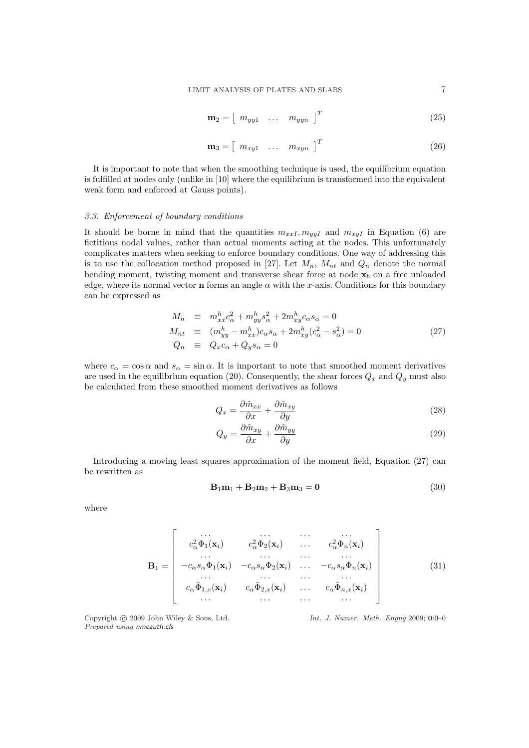#### LIMIT ANALYSIS OF PLATES AND SLABS 7

$$
\mathbf{m}_2 = \begin{bmatrix} m_{yy1} & \dots & m_{yyy} \end{bmatrix}^T
$$
 (25)

$$
\mathbf{m}_3 = \begin{bmatrix} m_{xy1} & \dots & m_{xyn} \end{bmatrix}^T
$$
 (26)

It is important to note that when the smoothing technique is used, the equilibrium equation is fulfilled at nodes only (unlike in [10] where the equilibrium is transformed into the equivalent weak form and enforced at Gauss points).

#### 3.3. Enforcement of boundary conditions

It should be borne in mind that the quantities  $m_{xxI}$ ,  $m_{yyI}$  and  $m_{xyI}$  in Equation (6) are fictitious nodal values, rather than actual moments acting at the nodes. This unfortunately complicates matters when seeking to enforce boundary conditions. One way of addressing this is to use the collocation method proposed in [27]. Let  $M_n$ ,  $M_{nt}$  and  $Q_n$  denote the normal bending moment, twisting moment and transverse shear force at node  $x<sub>b</sub>$  on a free unloaded edge, where its normal vector **n** forms an angle  $\alpha$  with the x-axis. Conditions for this boundary can be expressed as

$$
M_n \equiv m_{xx}^h c_\alpha^2 + m_{yy}^h s_\alpha^2 + 2m_{xy}^h c_\alpha s_\alpha = 0
$$
  
\n
$$
M_{nt} \equiv (m_{yy}^h - m_{xx}^h) c_\alpha s_\alpha + 2m_{xy}^h (c_\alpha^2 - s_\alpha^2) = 0
$$
  
\n
$$
Q_n \equiv Q_x c_\alpha + Q_y s_\alpha = 0
$$
\n(27)

where  $c_{\alpha} = \cos \alpha$  and  $s_{\alpha} = \sin \alpha$ . It is important to note that smoothed moment derivatives are used in the equilibrium equation (20). Consequently, the shear forces  $Q_x$  and  $Q_y$  must also be calculated from these smoothed moment derivatives as follows

$$
Q_x = \frac{\partial \tilde{m}_{xx}}{\partial x} + \frac{\partial \tilde{m}_{xy}}{\partial y} \tag{28}
$$

$$
Q_y = \frac{\partial \tilde{m}_{xy}}{\partial x} + \frac{\partial \tilde{m}_{yy}}{\partial y} \tag{29}
$$

Introducing a moving least squares approximation of the moment field, Equation (27) can be rewritten as

$$
\mathbf{B}_1 \mathbf{m}_1 + \mathbf{B}_2 \mathbf{m}_2 + \mathbf{B}_3 \mathbf{m}_3 = \mathbf{0} \tag{30}
$$

where

$$
\mathbf{B}_{1} = \begin{bmatrix} \cdots & \cdots & \cdots & \cdots \\ c_{\alpha}^{2} \Phi_{1}(\mathbf{x}_{i}) & c_{\alpha}^{2} \Phi_{2}(\mathbf{x}_{i}) & \cdots & c_{\alpha}^{2} \Phi_{n}(\mathbf{x}_{i}) \\ \cdots & \cdots & \cdots & \cdots \\ -c_{\alpha} s_{\alpha} \Phi_{1}(\mathbf{x}_{i}) & -c_{\alpha} s_{\alpha} \Phi_{2}(\mathbf{x}_{i}) & \cdots & -c_{\alpha} s_{\alpha} \Phi_{n}(\mathbf{x}_{i}) \\ \cdots & \cdots & \cdots & \cdots \\ c_{\alpha} \tilde{\Phi}_{1,x}(\mathbf{x}_{i}) & c_{\alpha} \tilde{\Phi}_{2,x}(\mathbf{x}_{i}) & \cdots & c_{\alpha} \tilde{\Phi}_{n,x}(\mathbf{x}_{i}) \\ \cdots & \cdots & \cdots & \cdots \end{bmatrix}
$$
(31)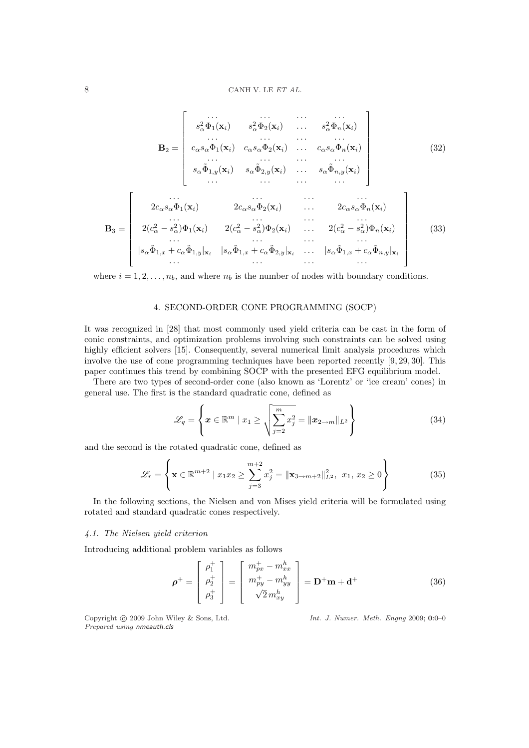$$
\mathbf{B}_{2} = \begin{bmatrix}\n\begin{bmatrix}\n\begin{bmatrix}\n\begin{bmatrix}\n\begin{bmatrix}\n\begin{bmatrix}\n\begin{bmatrix}\n\begin{bmatrix}\n\begin{bmatrix}\n\begin{bmatrix}\n\begin{bmatrix}\n\begin{bmatrix}\n\begin{bmatrix}\n\begin{bmatrix}\n\begin{bmatrix}\n\begin{bmatrix}\n\begin{bmatrix}\n\begin{bmatrix}\n\begin{bmatrix}\n\begin{bmatrix}\n\begin{bmatrix}\n\begin{bmatrix}\n\begin{bmatrix}\n\begin{bmatrix}\n\begin{bmatrix}\n\begin{bmatrix}\n\begin{bmatrix}\n\begin{bmatrix}\n\begin{bmatrix}\n\begin{bmatrix}\n\begin{bmatrix}\n\begin{bmatrix}\n\begin{bmatrix}\n\begin{bmatrix}\n\end{bmatrix}\n\end{bmatrix}\n\end{bmatrix}\n\end{bmatrix}\n\end{bmatrix}\n\end{bmatrix}\n\end{bmatrix}\n\end{bmatrix}\n\end{bmatrix} & \begin{bmatrix}\n\begin{bmatrix}\n\begin{bmatrix}\n\begin{bmatrix}\n\begin{bmatrix}\n\begin{\n\begin{bmatrix}\n\begin{bmatrix}\n\begin{bmatrix}\n\begin{bmatrix}\n\begin{bmatrix}\n\begin{bmatrix}\n\begin{bmatrix}\n\begin{bmatrix}\n\begin{bmatrix}\n\begin{bmatrix}\n\begin{bmatrix}\n\begin{bmatrix}\n\begin{bmatrix}\n\begin{bmatrix}\n\begin{bmatrix}\n\begin{bmatrix}\n\begin{bmatrix}\n\begin{bmatrix}\n\begin{bmatrix}\n\begin{bmatrix}\n\begin{bmatrix}\n\begin{bmatrix}\n\begin{bmatrix}\n\begin{bmatrix}\n\begin{bmatrix}\n\begin{bmatrix}\n\begin{bmatrix}\n\begin{bmatrix}\n\begin{bmatrix}\n\begin{bmatrix}\n\begin{bmatrix}\n\begin{bmatrix}\n\begin{bmatrix}\n\begin{bmatrix}\n\begin{bmatrix}\n\begin{bmatrix}\n\begin{bmatrix}\n\begin{bmatrix}\n\begin{bmatrix}\n\begin{bmatrix}\n\begin{bmatrix}\n\begin{bmatrix}\n\begin{bmatrix}\n\begin{bmatrix}\n\begin{bmatrix}\n\begin{bmatrix}\n\begin{bmatrix}\n\begin{bmatrix}\n\begin{bmatrix}\n\begin{bmatrix}\n\begin{bmatrix}\n\begin{bmatrix}\n\begin{bmatrix}\n\begin{bmatrix}\n\begin{bmatrix}\n\begin{bmatrix}\n\begin{bmatrix}\n\begin{bmatrix}\n\begin{b
$$

where  $i = 1, 2, \ldots, n_b$ , and where  $n_b$  is the number of nodes with boundary conditions.

# 4. SECOND-ORDER CONE PROGRAMMING (SOCP)

It was recognized in [28] that most commonly used yield criteria can be cast in the form of conic constraints, and optimization problems involving such constraints can be solved using highly efficient solvers [15]. Consequently, several numerical limit analysis procedures which involve the use of cone programming techniques have been reported recently [9, 29, 30]. This paper continues this trend by combining SOCP with the presented EFG equilibrium model.

There are two types of second-order cone (also known as 'Lorentz' or 'ice cream' cones) in general use. The first is the standard quadratic cone, defined as

$$
\mathcal{L}_q = \left\{ \boldsymbol{x} \in \mathbb{R}^m \mid x_1 \ge \sqrt{\sum_{j=2}^m x_j^2} = \|\boldsymbol{x}_{2 \to m}\|_{L^2} \right\} \tag{34}
$$

and the second is the rotated quadratic cone, defined as

$$
\mathcal{L}_r = \left\{ \mathbf{x} \in \mathbb{R}^{m+2} \mid x_1 x_2 \ge \sum_{j=3}^{m+2} x_j^2 = \|\mathbf{x}_{3 \to m+2}\|_{L^2}^2, \ x_1, \ x_2 \ge 0 \right\}
$$
(35)

In the following sections, the Nielsen and von Mises yield criteria will be formulated using rotated and standard quadratic cones respectively.

# 4.1. The Nielsen yield criterion

Introducing additional problem variables as follows

$$
\rho^{+} = \begin{bmatrix} \rho_{1}^{+} \\ \rho_{2}^{+} \\ \rho_{3}^{+} \end{bmatrix} = \begin{bmatrix} m_{px}^{+} - m_{xx}^{h} \\ m_{py}^{+} - m_{yy}^{h} \\ \sqrt{2} m_{xy}^{h} \end{bmatrix} = \mathbf{D}^{+} \mathbf{m} + \mathbf{d}^{+}
$$
(36)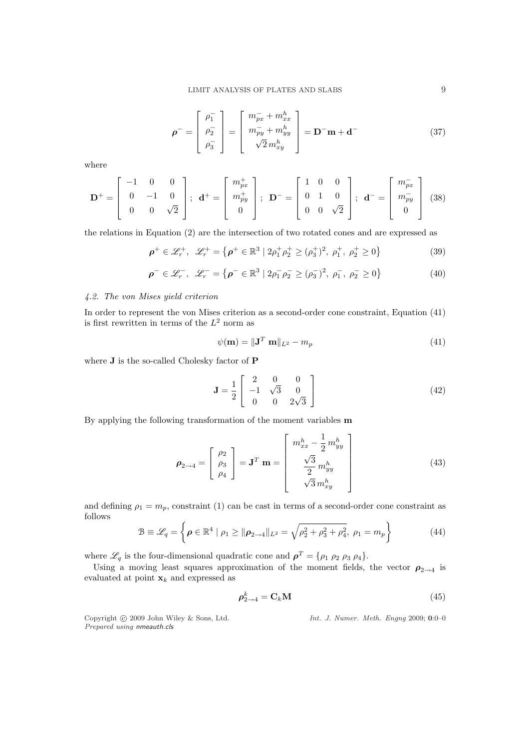$$
\rho^{-} = \begin{bmatrix} \rho_1^{-} \\ \rho_2^{-} \\ \rho_3^{-} \end{bmatrix} = \begin{bmatrix} m_{px}^{-} + m_{xx}^{h} \\ m_{py}^{-} + m_{yy}^{h} \\ \sqrt{2} m_{xy}^{h} \end{bmatrix} = \mathbf{D}^{-} \mathbf{m} + \mathbf{d}^{-}
$$
(37)

where

$$
\mathbf{D}^{+} = \begin{bmatrix} -1 & 0 & 0 \\ 0 & -1 & 0 \\ 0 & 0 & \sqrt{2} \end{bmatrix}; \ \mathbf{d}^{+} = \begin{bmatrix} m_{px}^{+} \\ m_{py}^{+} \\ 0 \end{bmatrix}; \ \mathbf{D}^{-} = \begin{bmatrix} 1 & 0 & 0 \\ 0 & 1 & 0 \\ 0 & 0 & \sqrt{2} \end{bmatrix}; \ \mathbf{d}^{-} = \begin{bmatrix} m_{px}^{-} \\ m_{py}^{-} \\ 0 \end{bmatrix}
$$
(38)

the relations in Equation (2) are the intersection of two rotated cones and are expressed as

$$
\rho^+ \in \mathcal{L}_r^+, \ \mathcal{L}_r^+ = \{ \rho^+ \in \mathbb{R}^3 \mid 2\rho_1^+ \rho_2^+ \ge (\rho_3^+)^2, \ \rho_1^+, \ \rho_2^+ \ge 0 \}
$$
 (39)

$$
\rho^{-} \in \mathcal{L}_{r}^{-}, \ \mathcal{L}_{r}^{-} = \left\{ \rho^{-} \in \mathbb{R}^{3} \mid 2\rho_{1}^{-}\rho_{2}^{-} \geq (\rho_{3}^{-})^{2}, \ \rho_{1}^{-}, \ \rho_{2}^{-} \geq 0 \right\}
$$
 (40)

# 4.2. The von Mises yield criterion

In order to represent the von Mises criterion as a second-order cone constraint, Equation (41) is first rewritten in terms of the  $L^2$  norm as

$$
\psi(\mathbf{m}) = \|\mathbf{J}^T \mathbf{m}\|_{L^2} - m_p \tag{41}
$$

where J is the so-called Cholesky factor of P

$$
\mathbf{J} = \frac{1}{2} \begin{bmatrix} 2 & 0 & 0 \\ -1 & \sqrt{3} & 0 \\ 0 & 0 & 2\sqrt{3} \end{bmatrix}
$$
 (42)

By applying the following transformation of the moment variables m

$$
\boldsymbol{\rho}_{2\rightarrow 4} = \begin{bmatrix} \rho_2 \\ \rho_3 \\ \rho_4 \end{bmatrix} = \mathbf{J}^T \mathbf{m} = \begin{bmatrix} m_{xx}^h - \frac{1}{2} m_{yy}^h \\ \frac{\sqrt{3}}{2} m_{yy}^h \\ \sqrt{3} m_{xy}^h \end{bmatrix}
$$
(43)

and defining  $\rho_1 = m_p$ , constraint (1) can be cast in terms of a second-order cone constraint as follows ½  $\sim$  $\ddot{\phantom{0}}$ 

$$
\mathcal{B} \equiv \mathcal{L}_q = \left\{ \rho \in \mathbb{R}^4 \mid \rho_1 \ge ||\rho_{2 \to 4}||_{L^2} = \sqrt{\rho_2^2 + \rho_3^2 + \rho_4^2}, \ \rho_1 = m_p \right\}
$$
(44)

where  $\mathscr{L}_q$  is the four-dimensional quadratic cone and  $\rho^T = \{\rho_1 \; \rho_2 \; \rho_3 \; \rho_4\}.$ 

Using a moving least squares approximation of the moment fields, the vector  $\rho_{2\to 4}$  is evaluated at point  $\mathbf{x}_k$  and expressed as

$$
\rho_{2\to 4}^k = \mathbf{C}_k \mathbf{M} \tag{45}
$$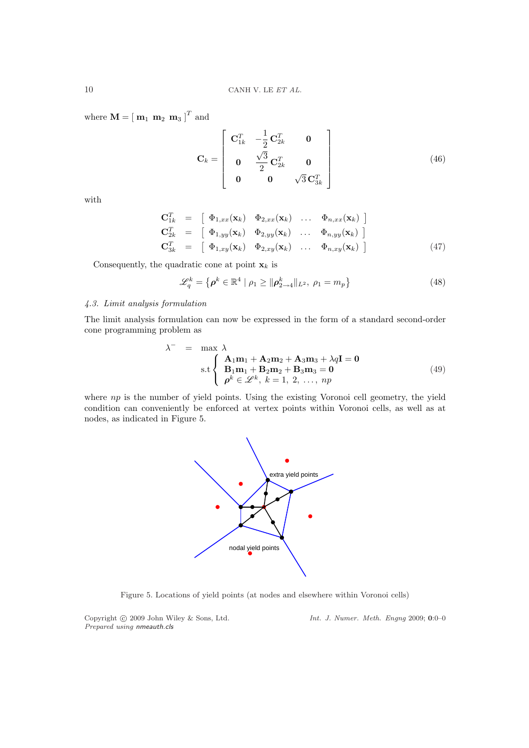where  $\mathbf{M} = [\mathbf{m}_1 \ \mathbf{m}_2 \ \mathbf{m}_3]^T$  and

$$
\mathbf{C}_{k} = \begin{bmatrix} \mathbf{C}_{1k}^{T} & -\frac{1}{2} \mathbf{C}_{2k}^{T} & \mathbf{0} \\ \mathbf{0} & \frac{\sqrt{3}}{2} \mathbf{C}_{2k}^{T} & \mathbf{0} \\ \mathbf{0} & \mathbf{0} & \sqrt{3} \mathbf{C}_{3k}^{T} \end{bmatrix}
$$
(46)

with

$$
\mathbf{C}_{1k}^T = \begin{bmatrix} \Phi_{1,xx}(\mathbf{x}_k) & \Phi_{2,xx}(\mathbf{x}_k) & \dots & \Phi_{n,xx}(\mathbf{x}_k) \end{bmatrix} \n\mathbf{C}_{2k}^T = \begin{bmatrix} \Phi_{1,yy}(\mathbf{x}_k) & \Phi_{2,yy}(\mathbf{x}_k) & \dots & \Phi_{n,yy}(\mathbf{x}_k) \end{bmatrix} \n\mathbf{C}_{3k}^T = \begin{bmatrix} \Phi_{1,xy}(\mathbf{x}_k) & \Phi_{2,xy}(\mathbf{x}_k) & \dots & \Phi_{n,xy}(\mathbf{x}_k) \end{bmatrix}
$$
\n(47)

Consequently, the quadratic cone at point  $x_k$  is

$$
\mathcal{L}_q^k = \left\{ \boldsymbol{\rho}^k \in \mathbb{R}^4 \mid \rho_1 \geq \|\boldsymbol{\rho}_{2\to 4}^k\|_{L^2}, \ \rho_1 = m_p \right\} \tag{48}
$$

# 4.3. Limit analysis formulation

The limit analysis formulation can now be expressed in the form of a standard second-order cone programming problem as

$$
\lambda^{-} = \max \lambda
$$
  
s.t 
$$
\begin{cases}\n\mathbf{A}_1 \mathbf{m}_1 + \mathbf{A}_2 \mathbf{m}_2 + \mathbf{A}_3 \mathbf{m}_3 + \lambda q \mathbf{I} = \mathbf{0} \\
\mathbf{B}_1 \mathbf{m}_1 + \mathbf{B}_2 \mathbf{m}_2 + \mathbf{B}_3 \mathbf{m}_3 = \mathbf{0} \\
\rho^k \in \mathcal{L}^k, \ k = 1, 2, \dots, np\n\end{cases}
$$
(49)

where  $np$  is the number of yield points. Using the existing Voronoi cell geometry, the yield condition can conveniently be enforced at vertex points within Voronoi cells, as well as at nodes, as indicated in Figure 5.



Figure 5. Locations of yield points (at nodes and elsewhere within Voronoi cells)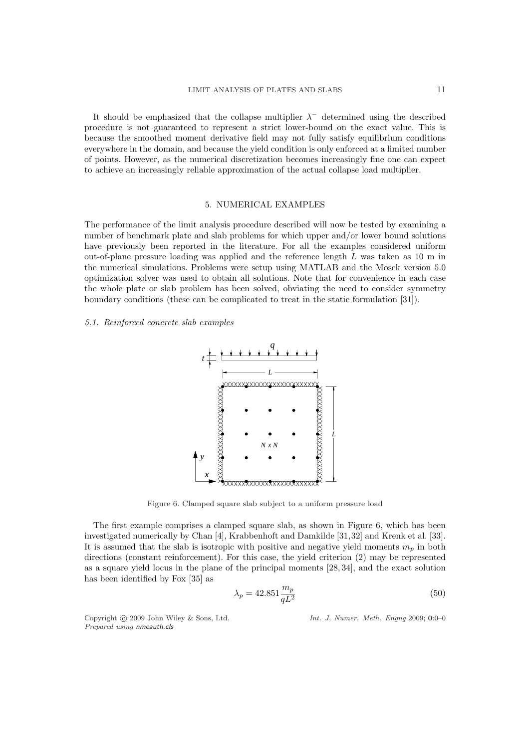It should be emphasized that the collapse multiplier  $\lambda^-$  determined using the described procedure is not guaranteed to represent a strict lower-bound on the exact value. This is because the smoothed moment derivative field may not fully satisfy equilibrium conditions everywhere in the domain, and because the yield condition is only enforced at a limited number of points. However, as the numerical discretization becomes increasingly fine one can expect to achieve an increasingly reliable approximation of the actual collapse load multiplier.

# 5. NUMERICAL EXAMPLES

The performance of the limit analysis procedure described will now be tested by examining a number of benchmark plate and slab problems for which upper and/or lower bound solutions have previously been reported in the literature. For all the examples considered uniform out-of-plane pressure loading was applied and the reference length  $L$  was taken as 10 m in the numerical simulations. Problems were setup using MATLAB and the Mosek version 5.0 optimization solver was used to obtain all solutions. Note that for convenience in each case the whole plate or slab problem has been solved, obviating the need to consider symmetry boundary conditions (these can be complicated to treat in the static formulation [31]).

#### 5.1. Reinforced concrete slab examples



Figure 6. Clamped square slab subject to a uniform pressure load

The first example comprises a clamped square slab, as shown in Figure 6, which has been investigated numerically by Chan [4], Krabbenhoft and Damkilde [31,32] and Krenk et al. [33]. It is assumed that the slab is isotropic with positive and negative yield moments  $m_p$  in both directions (constant reinforcement). For this case, the yield criterion (2) may be represented as a square yield locus in the plane of the principal moments [28, 34], and the exact solution has been identified by Fox [35] as

$$
\lambda_p = 42.851 \frac{m_p}{qL^2} \tag{50}
$$

Prepared using nmeauth.cls

Copyright  $\odot$  2009 John Wiley & Sons, Ltd. Int. J. Numer. Meth. Engng 2009; 0:0–0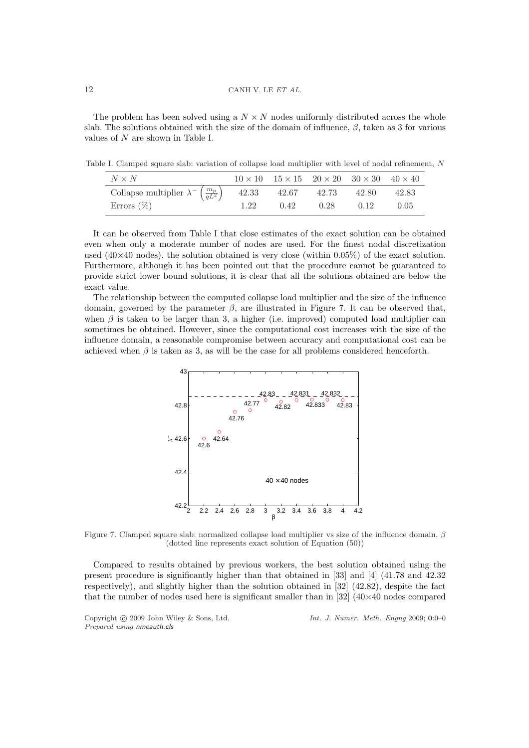The problem has been solved using a  $N \times N$  nodes uniformly distributed across the whole slab. The solutions obtained with the size of the domain of influence,  $\beta$ , taken as 3 for various values of  $N$  are shown in Table I.

Table I. Clamped square slab: variation of collapse load multiplier with level of nodal refinement, N

| $N \times N$                                                              |      |      | $10 \times 10$ $15 \times 15$ $20 \times 20$ $30 \times 30$ $40 \times 40$ |       |       |
|---------------------------------------------------------------------------|------|------|----------------------------------------------------------------------------|-------|-------|
| Collapse multiplier $\lambda = \left(\frac{m_p}{qL^2}\right)$ 42.33 42.67 |      |      | 42.73                                                                      | 42.80 | 42.83 |
| Errors $(\%)$                                                             | 1.22 | 0.42 | 0.28                                                                       | 0.12  | 0.05  |

It can be observed from Table I that close estimates of the exact solution can be obtained even when only a moderate number of nodes are used. For the finest nodal discretization used  $(40\times40 \text{ nodes})$ , the solution obtained is very close (within 0.05%) of the exact solution. Furthermore, although it has been pointed out that the procedure cannot be guaranteed to provide strict lower bound solutions, it is clear that all the solutions obtained are below the exact value.

The relationship between the computed collapse load multiplier and the size of the influence domain, governed by the parameter  $\beta$ , are illustrated in Figure 7. It can be observed that, when  $\beta$  is taken to be larger than 3, a higher (i.e. improved) computed load multiplier can sometimes be obtained. However, since the computational cost increases with the size of the influence domain, a reasonable compromise between accuracy and computational cost can be achieved when  $\beta$  is taken as 3, as will be the case for all problems considered henceforth.



Figure 7. Clamped square slab: normalized collapse load multiplier vs size of the influence domain,  $\beta$ (dotted line represents exact solution of Equation (50))

Compared to results obtained by previous workers, the best solution obtained using the present procedure is significantly higher than that obtained in [33] and [4] (41.78 and 42.32 respectively), and slightly higher than the solution obtained in [32] (42.82), despite the fact that the number of nodes used here is significant smaller than in  $[32]$   $(40\times40)$  nodes compared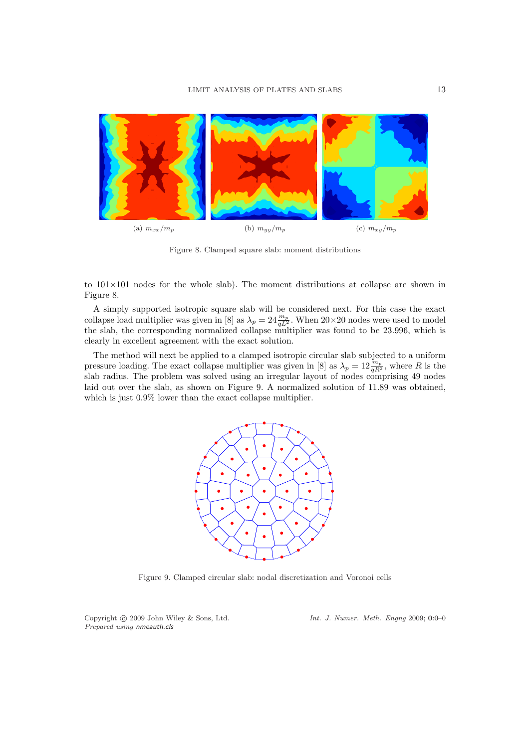

Figure 8. Clamped square slab: moment distributions

to  $101\times101$  nodes for the whole slab). The moment distributions at collapse are shown in Figure 8.

A simply supported isotropic square slab will be considered next. For this case the exact collapse load multiplier was given in [8] as  $\lambda_p = 24 \frac{m_p}{qL^2}$ . When  $20 \times 20$  nodes were used to model the slab, the corresponding normalized collapse multiplier was found to be 23.996, which is clearly in excellent agreement with the exact solution.

The method will next be applied to a clamped isotropic circular slab subjected to a uniform pressure loading. The exact collapse multiplier was given in [8] as  $\lambda_p = 12 \frac{m_p}{qR^2}$ , where R is the slab radius. The problem was solved using an irregular layout of nodes comprising 49 nodes laid out over the slab, as shown on Figure 9. A normalized solution of 11.89 was obtained, which is just  $0.9\%$  lower than the exact collapse multiplier.



Figure 9. Clamped circular slab: nodal discretization and Voronoi cells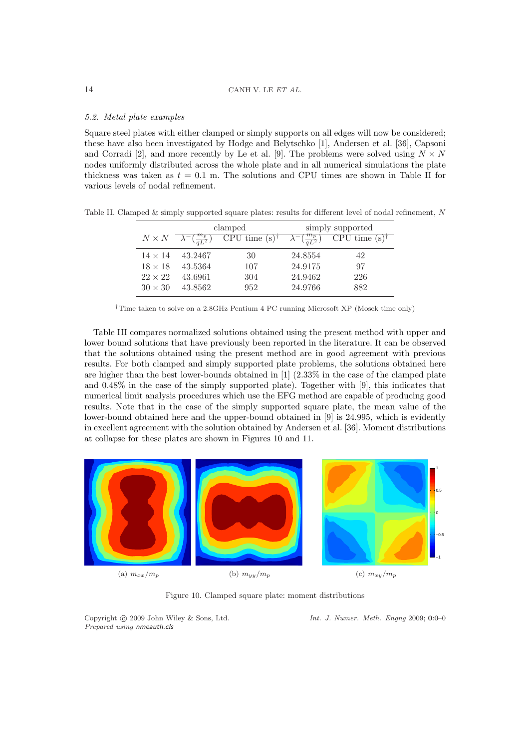#### 5.2. Metal plate examples

Square steel plates with either clamped or simply supports on all edges will now be considered; these have also been investigated by Hodge and Belytschko [1], Andersen et al. [36], Capsoni and Corradi [2], and more recently by Le et al. [9]. The problems were solved using  $N \times N$ nodes uniformly distributed across the whole plate and in all numerical simulations the plate thickness was taken as  $t = 0.1$  m. The solutions and CPU times are shown in Table II for various levels of nodal refinement.

Table II. Clamped & simply supported square plates: results for different level of nodal refinement, N

|                |         | clamped                                                                                                                        | simply supported |     |  |
|----------------|---------|--------------------------------------------------------------------------------------------------------------------------------|------------------|-----|--|
|                |         | $N \times N$ $\lambda^{-}(\frac{m_p}{aL^2})$ CPU time $(s)^{\dagger}$ $\lambda^{-}(\frac{m_p}{aL^2})$ CPU time $(s)^{\dagger}$ |                  |     |  |
| $14 \times 14$ | 43.2467 | 30                                                                                                                             | 24.8554          | 42  |  |
| $18 \times 18$ | 43.5364 | 107                                                                                                                            | 24.9175          | 97  |  |
| $22 \times 22$ | 43.6961 | 304                                                                                                                            | 24.9462          | 226 |  |
| $30 \times 30$ | 43.8562 | 952                                                                                                                            | 24.9766          | 882 |  |

†Time taken to solve on a 2.8GHz Pentium 4 PC running Microsoft XP (Mosek time only)

Table III compares normalized solutions obtained using the present method with upper and lower bound solutions that have previously been reported in the literature. It can be observed that the solutions obtained using the present method are in good agreement with previous results. For both clamped and simply supported plate problems, the solutions obtained here are higher than the best lower-bounds obtained in [1] (2.33% in the case of the clamped plate and 0.48% in the case of the simply supported plate). Together with [9], this indicates that numerical limit analysis procedures which use the EFG method are capable of producing good results. Note that in the case of the simply supported square plate, the mean value of the lower-bound obtained here and the upper-bound obtained in [9] is 24.995, which is evidently in excellent agreement with the solution obtained by Andersen et al. [36]. Moment distributions at collapse for these plates are shown in Figures 10 and 11.



Figure 10. Clamped square plate: moment distributions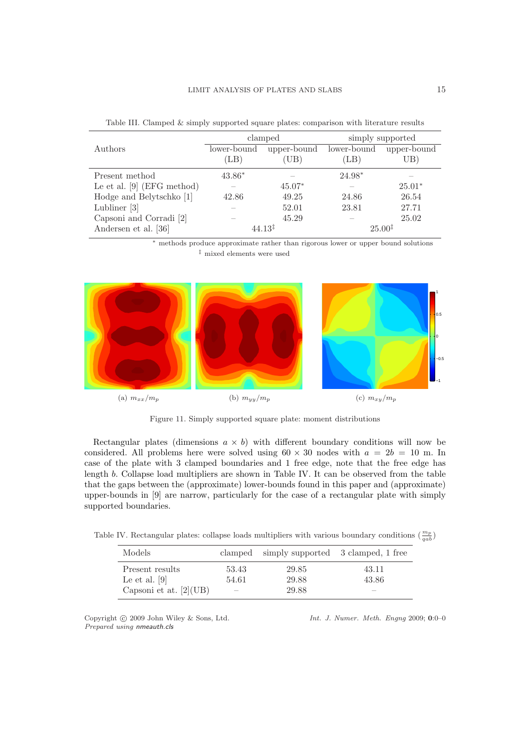|                                    |             | clamped     | simply supported |                    |  |
|------------------------------------|-------------|-------------|------------------|--------------------|--|
| Authors                            | lower-bound | upper-bound | lower-bound      | upper-bound        |  |
|                                    | (LB)        | (UB)        | (LB)             | UB)                |  |
| Present method                     | $43.86*$    |             | 24.98*           |                    |  |
| Le et al. $[9]$ (EFG method)       |             | $45.07*$    |                  | $25.01*$           |  |
| Hodge and Belytschko [1]           | 42.86       | 49.25       | 24.86            | 26.54              |  |
| Lubliner $[3]$                     |             | 52.01       | 23.81            | 27.71              |  |
| Capsoni and Corradi <sup>[2]</sup> |             | 45.29       |                  | 25.02              |  |
| Andersen et al. [36]               |             | 44 13‡      |                  | 25.00 <sup>1</sup> |  |

|  |  |  | Table III. Clamped & simply supported square plates: comparison with literature results |  |  |
|--|--|--|-----------------------------------------------------------------------------------------|--|--|
|  |  |  |                                                                                         |  |  |

<sup>∗</sup> methods produce approximate rather than rigorous lower or upper bound solutions ‡ mixed elements were used



Figure 11. Simply supported square plate: moment distributions

Rectangular plates (dimensions  $a \times b$ ) with different boundary conditions will now be considered. All problems here were solved using  $60 \times 30$  nodes with  $a = 2b = 10$  m. In case of the plate with 3 clamped boundaries and 1 free edge, note that the free edge has length b. Collapse load multipliers are shown in Table IV. It can be observed from the table that the gaps between the (approximate) lower-bounds found in this paper and (approximate) upper-bounds in [9] are narrow, particularly for the case of a rectangular plate with simply supported boundaries.

Table IV. Rectangular plates: collapse loads multipliers with various boundary conditions  $\left(\frac{m_p}{qab}\right)$ 

| Models                    |                          | clamped simply supported 3 clamped, 1 free |                          |
|---------------------------|--------------------------|--------------------------------------------|--------------------------|
| Present results           | 53.43                    | 29.85                                      | 43.11                    |
| Le et al. $[9]$           | 54.61                    | 29.88                                      | 43.86                    |
| Capsoni et at. $[2]$ (UB) | $\overline{\phantom{m}}$ | 29.88                                      | $\overline{\phantom{a}}$ |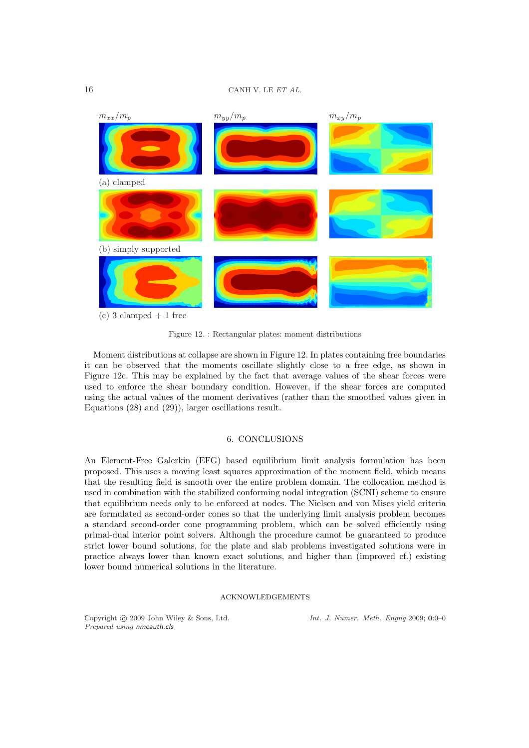

 $(c)$  3 clamped  $+$  1 free

Figure 12. : Rectangular plates: moment distributions

Moment distributions at collapse are shown in Figure 12. In plates containing free boundaries it can be observed that the moments oscillate slightly close to a free edge, as shown in Figure 12c. This may be explained by the fact that average values of the shear forces were used to enforce the shear boundary condition. However, if the shear forces are computed using the actual values of the moment derivatives (rather than the smoothed values given in Equations (28) and (29)), larger oscillations result.

# 6. CONCLUSIONS

An Element-Free Galerkin (EFG) based equilibrium limit analysis formulation has been proposed. This uses a moving least squares approximation of the moment field, which means that the resulting field is smooth over the entire problem domain. The collocation method is used in combination with the stabilized conforming nodal integration (SCNI) scheme to ensure that equilibrium needs only to be enforced at nodes. The Nielsen and von Mises yield criteria are formulated as second-order cones so that the underlying limit analysis problem becomes a standard second-order cone programming problem, which can be solved efficiently using primal-dual interior point solvers. Although the procedure cannot be guaranteed to produce strict lower bound solutions, for the plate and slab problems investigated solutions were in practice always lower than known exact solutions, and higher than (improved cf.) existing lower bound numerical solutions in the literature.

# ACKNOWLEDGEMENTS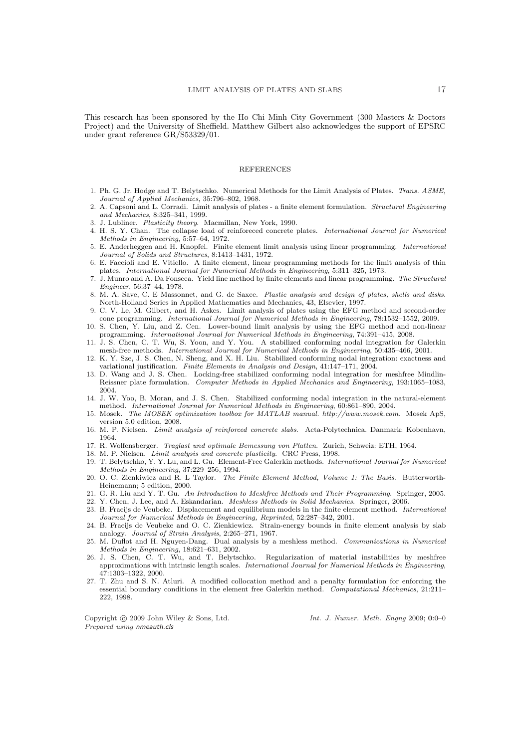This research has been sponsored by the Ho Chi Minh City Government (300 Masters & Doctors Project) and the University of Sheffield. Matthew Gilbert also acknowledges the support of EPSRC under grant reference GR/S53329/01.

#### REFERENCES

- 1. Ph. G. Jr. Hodge and T. Belytschko. Numerical Methods for the Limit Analysis of Plates. Trans. ASME, Journal of Applied Mechanics, 35:796–802, 1968.
- 2. A. Capsoni and L. Corradi. Limit analysis of plates a finite element formulation. Structural Engineering and Mechanics, 8:325–341, 1999.
- 3. J. Lubliner. Plasticity theory. Macmillan, New York, 1990.
- 4. H. S. Y. Chan. The collapse load of reinforeced concrete plates. International Journal for Numerical Methods in Engineering, 5:57–64, 1972.
- 5. E. Anderheggen and H. Knopfel. Finite element limit analysis using linear programming. International Journal of Solids and Structures, 8:1413–1431, 1972.
- 6. E. Faccioli and E. Vitiello. A finite element, linear programming methods for the limit analysis of thin plates. International Journal for Numerical Methods in Engineering, 5:311–325, 1973.
- 7. J. Munro and A. Da Fonseca. Yield line method by finite elements and linear programming. The Structural Engineer, 56:37–44, 1978.
- 8. M. A. Save, C. E Massonnet, and G. de Saxce. Plastic analysis and design of plates, shells and disks. North-Holland Series in Applied Mathematics and Mechanics, 43, Elsevier, 1997.
- 9. C. V. Le, M. Gilbert, and H. Askes. Limit analysis of plates using the EFG method and second-order cone programming. International Journal for Numerical Methods in Engineering, 78:1532–1552, 2009.
- 10. S. Chen, Y. Liu, and Z. Cen. Lower-bound limit analysis by using the EFG method and non-linear programming. International Journal for Numerical Methods in Engineering, 74:391–415, 2008.
- 11. J. S. Chen, C. T. Wu, S. Yoon, and Y. You. A stabilized conforming nodal integration for Galerkin mesh-free methods. International Journal for Numerical Methods in Engineering, 50:435–466, 2001.
- 12. K. Y. Sze, J. S. Chen, N. Sheng, and X. H. Liu. Stabilized conforming nodal integration: exactness and variational justification. Finite Elements in Analysis and Design, 41:147–171, 2004.
- 13. D. Wang and J. S. Chen. Locking-free stabilized conforming nodal integration for meshfree Mindlin-Reissner plate formulation. Computer Methods in Applied Mechanics and Engineering, 193:1065–1083, 2004.
- 14. J. W. Yoo, B. Moran, and J. S. Chen. Stabilized conforming nodal integration in the natural-element method. International Journal for Numerical Methods in Engineering, 60:861–890, 2004.
- 15. Mosek. The MOSEK optimization toolbox for MATLAB manual. http://www.mosek.com. Mosek ApS, version 5.0 edition, 2008.
- 16. M. P. Nielsen. Limit analysis of reinforced concrete slabs. Acta-Polytechnica. Danmark: Kobenhavn, 1964.
- 17. R. Wolfensberger. Traglast und optimale Bemessung von Platten. Zurich, Schweiz: ETH, 1964.
- 18. M. P. Nielsen. Limit analysis and concrete plasticity. CRC Press, 1998.
- 19. T. Belytschko, Y. Y. Lu, and L. Gu. Element-Free Galerkin methods. International Journal for Numerical Methods in Engineering, 37:229–256, 1994.
- 20. O. C. Zienkiwicz and R. L Taylor. The Finite Element Method, Volume 1: The Basis. Butterworth-Heinemann; 5 edition, 2000.
- 21. G. R. Liu and Y. T. Gu. An Introduction to Meshfree Methods and Their Programming. Springer, 2005. 22. Y. Chen, J. Lee, and A. Eskandarian. Meshless Methods in Solid Mechanics. Springer, 2006.
- 23. B. Fraeijs de Veubeke. Displacement and equilibrium models in the finite element method. International
- Journal for Numerical Methods in Engineering, Reprinted, 52:287–342, 2001. 24. B. Fraeijs de Veubeke and O. C. Zienkiewicz. Strain-energy bounds in finite element analysis by slab
- analogy. Journal of Strain Analysis, 2:265–271, 1967. 25. M. Duflot and H. Nguyen-Dang. Dual analysis by a meshless method. Communications in Numerical
- Methods in Engineering, 18:621–631, 2002.
- 26. J. S. Chen, C. T. Wu, and T. Belytschko. Regularization of material instabilities by meshfree approximations with intrinsic length scales. International Journal for Numerical Methods in Engineering, 47:1303–1322, 2000.
- 27. T. Zhu and S. N. Atluri. A modified collocation method and a penalty formulation for enforcing the essential boundary conditions in the element free Galerkin method. Computational Mechanics, 21:211– 222, 1998.